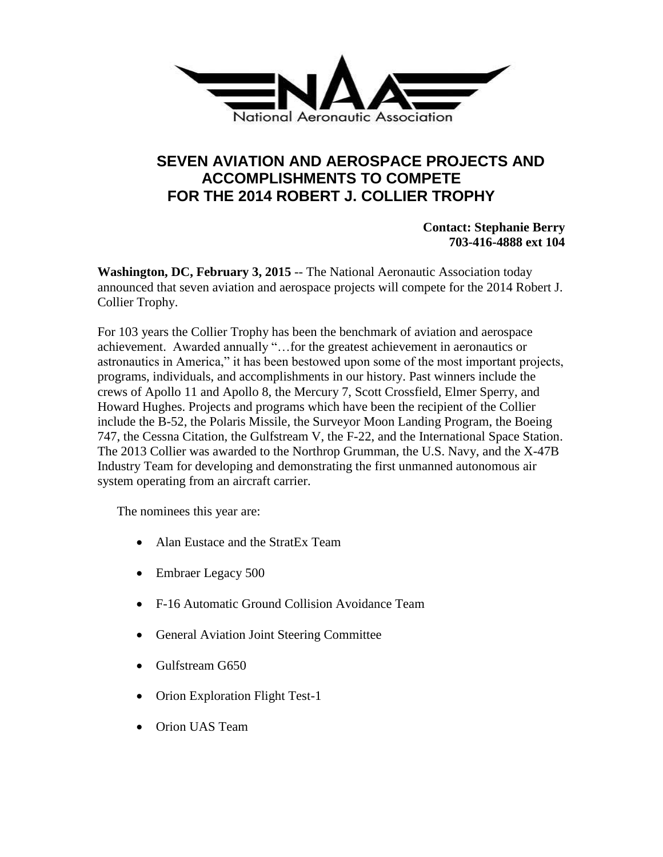

## **SEVEN AVIATION AND AEROSPACE PROJECTS AND ACCOMPLISHMENTS TO COMPETE FOR THE 2014 ROBERT J. COLLIER TROPHY**

**Contact: Stephanie Berry 703-416-4888 ext 104**

**Washington, DC, February 3, 2015** -- The National Aeronautic Association today announced that seven aviation and aerospace projects will compete for the 2014 Robert J. Collier Trophy.

For 103 years the Collier Trophy has been the benchmark of aviation and aerospace achievement. Awarded annually "…for the greatest achievement in aeronautics or astronautics in America," it has been bestowed upon some of the most important projects, programs, individuals, and accomplishments in our history. Past winners include the crews of Apollo 11 and Apollo 8, the Mercury 7, Scott Crossfield, Elmer Sperry, and Howard Hughes. Projects and programs which have been the recipient of the Collier include the B-52, the Polaris Missile, the Surveyor Moon Landing Program, the Boeing 747, the Cessna Citation, the Gulfstream V, the F-22, and the International Space Station. The 2013 Collier was awarded to the Northrop Grumman, the U.S. Navy, and the X-47B Industry Team for developing and demonstrating the first unmanned autonomous air system operating from an aircraft carrier.

The nominees this year are:

- Alan Eustace and the StratEx Team
- Embraer Legacy 500
- F-16 Automatic Ground Collision Avoidance Team
- General Aviation Joint Steering Committee
- Gulfstream G650
- Orion Exploration Flight Test-1
- Orion UAS Team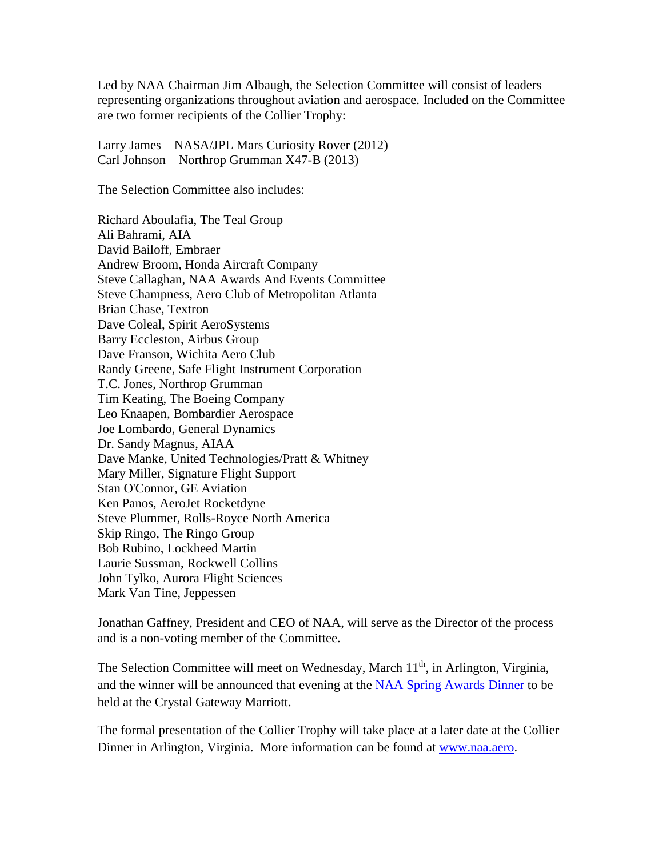Led by NAA Chairman Jim Albaugh, the Selection Committee will consist of leaders representing organizations throughout aviation and aerospace. Included on the Committee are two former recipients of the Collier Trophy:

Larry James – NASA/JPL Mars Curiosity Rover (2012) Carl Johnson – Northrop Grumman X47-B (2013)

The Selection Committee also includes:

Richard Aboulafia, The Teal Group Ali Bahrami, AIA David Bailoff, Embraer Andrew Broom, Honda Aircraft Company Steve Callaghan, NAA Awards And Events Committee Steve Champness, Aero Club of Metropolitan Atlanta Brian Chase, Textron Dave Coleal, Spirit AeroSystems Barry Eccleston, Airbus Group Dave Franson, Wichita Aero Club Randy Greene, Safe Flight Instrument Corporation T.C. Jones, Northrop Grumman Tim Keating, The Boeing Company Leo Knaapen, Bombardier Aerospace Joe Lombardo, General Dynamics Dr. Sandy Magnus, AIAA Dave Manke, United Technologies/Pratt & Whitney Mary Miller, Signature Flight Support Stan O'Connor, GE Aviation Ken Panos, AeroJet Rocketdyne Steve Plummer, Rolls-Royce North America Skip Ringo, The Ringo Group Bob Rubino, Lockheed Martin Laurie Sussman, Rockwell Collins John Tylko, Aurora Flight Sciences Mark Van Tine, Jeppessen

Jonathan Gaffney, President and CEO of NAA, will serve as the Director of the process and is a non-voting member of the Committee.

The Selection Committee will meet on Wednesday, March 11<sup>th</sup>, in Arlington, Virginia, and the winner will be announced that evening at the [NAA Spring Awards Dinner t](http://naa.aero/html/events/index.cfm?cmsid=263)o be held at the Crystal Gateway Marriott.

The formal presentation of the Collier Trophy will take place at a later date at the Collier Dinner in Arlington, Virginia. More information can be found at [www.naa.aero.](http://www.naa.aero/)